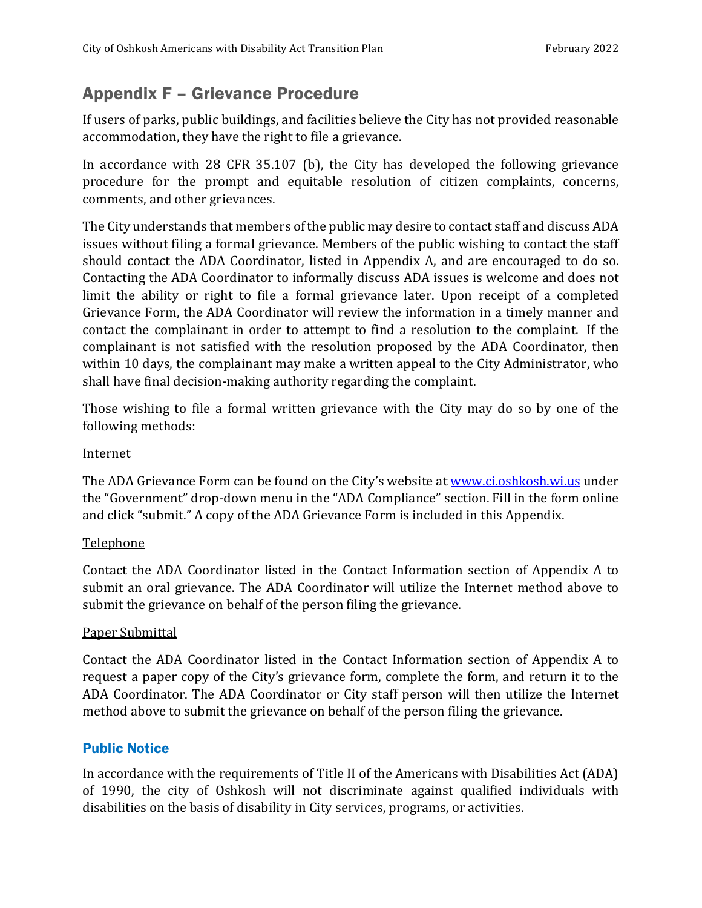## Appendix F – Grievance Procedure

If users of parks, public buildings, and facilities believe the City has not provided reasonable accommodation, they have the right to file a grievance.

In accordance with 28 CFR 35.107 (b), the City has developed the following grievance procedure for the prompt and equitable resolution of citizen complaints, concerns, comments, and other grievances.

The City understands that members of the public may desire to contact staff and discuss ADA issues without filing a formal grievance. Members of the public wishing to contact the staff should contact the ADA Coordinator, listed in Appendix A, and are encouraged to do so. Contacting the ADA Coordinator to informally discuss ADA issues is welcome and does not limit the ability or right to file a formal grievance later. Upon receipt of a completed Grievance Form, the ADA Coordinator will review the information in a timely manner and contact the complainant in order to attempt to find a resolution to the complaint. If the complainant is not satisfied with the resolution proposed by the ADA Coordinator, then within 10 days, the complainant may make a written appeal to the City Administrator, who shall have final decision-making authority regarding the complaint.

Those wishing to file a formal written grievance with the City may do so by one of the following methods:

#### **Internet**

The ADA Grievance Form can be found on the City's website at [www.ci.oshkosh.wi.us](http://www.ci.oshkosh.wi.us/) under the "Government" drop-down menu in the "ADA Compliance" section. Fill in the form online and click "submit." A copy of the ADA Grievance Form is included in this Appendix.

#### Telephone

Contact the ADA Coordinator listed in the Contact Information section of Appendix A to submit an oral grievance. The ADA Coordinator will utilize the Internet method above to submit the grievance on behalf of the person filing the grievance.

#### Paper Submittal

Contact the ADA Coordinator listed in the Contact Information section of Appendix A to request a paper copy of the City's grievance form, complete the form, and return it to the ADA Coordinator. The ADA Coordinator or City staff person will then utilize the Internet method above to submit the grievance on behalf of the person filing the grievance.

#### Public Notice

In accordance with the requirements of Title II of the Americans with Disabilities Act (ADA) of 1990, the city of Oshkosh will not discriminate against qualified individuals with disabilities on the basis of disability in City services, programs, or activities.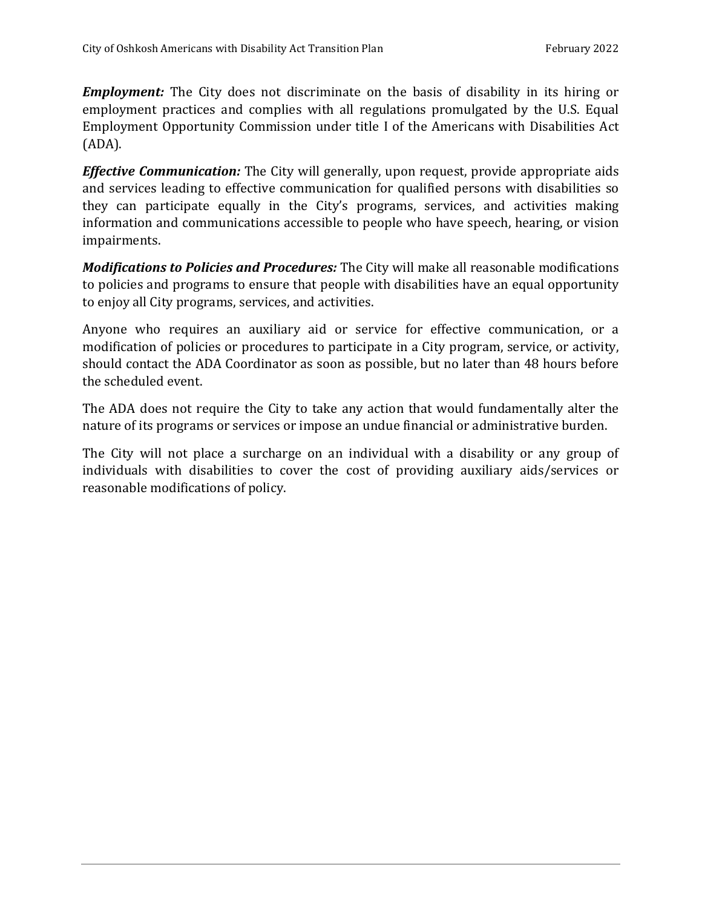*Employment:* The City does not discriminate on the basis of disability in its hiring or employment practices and complies with all regulations promulgated by the U.S. Equal Employment Opportunity Commission under title I of the Americans with Disabilities Act (ADA).

*Effective Communication:* The City will generally, upon request, provide appropriate aids and services leading to effective communication for qualified persons with disabilities so they can participate equally in the City's programs, services, and activities making information and communications accessible to people who have speech, hearing, or vision impairments.

*Modifications to Policies and Procedures:* The City will make all reasonable modifications to policies and programs to ensure that people with disabilities have an equal opportunity to enjoy all City programs, services, and activities.

Anyone who requires an auxiliary aid or service for effective communication, or a modification of policies or procedures to participate in a City program, service, or activity, should contact the ADA Coordinator as soon as possible, but no later than 48 hours before the scheduled event.

The ADA does not require the City to take any action that would fundamentally alter the nature of its programs or services or impose an undue financial or administrative burden.

The City will not place a surcharge on an individual with a disability or any group of individuals with disabilities to cover the cost of providing auxiliary aids/services or reasonable modifications of policy.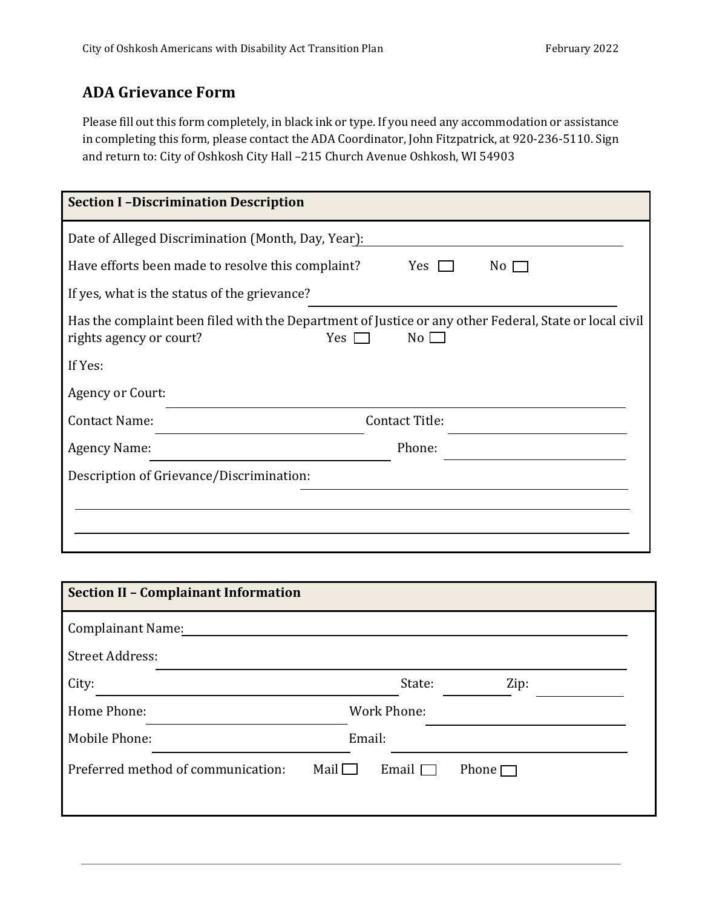### **ADA Grievance Form**

Please fill out this form completely, in black ink or type. If you need any accommodation or assistance in completing this form, please contact the ADA Coordinator, John Fitzpatrick, at 920-236-5110. Sign and return to: City of Oshkosh City Hall –215 Church Avenue Oshkosh, WI 54903

| <b>Section II - Complainant Information</b>       |                              |
|---------------------------------------------------|------------------------------|
| <b>Complainant Name:</b>                          |                              |
| <b>Street Address:</b>                            |                              |
| City:                                             | State:<br>Zip:               |
| Home Phone:                                       | <b>Work Phone:</b>           |
| Mobile Phone:                                     | Email:                       |
| Preferred method of communication:<br>Mail $\Box$ | Email $\Box$<br>Phone $\Box$ |